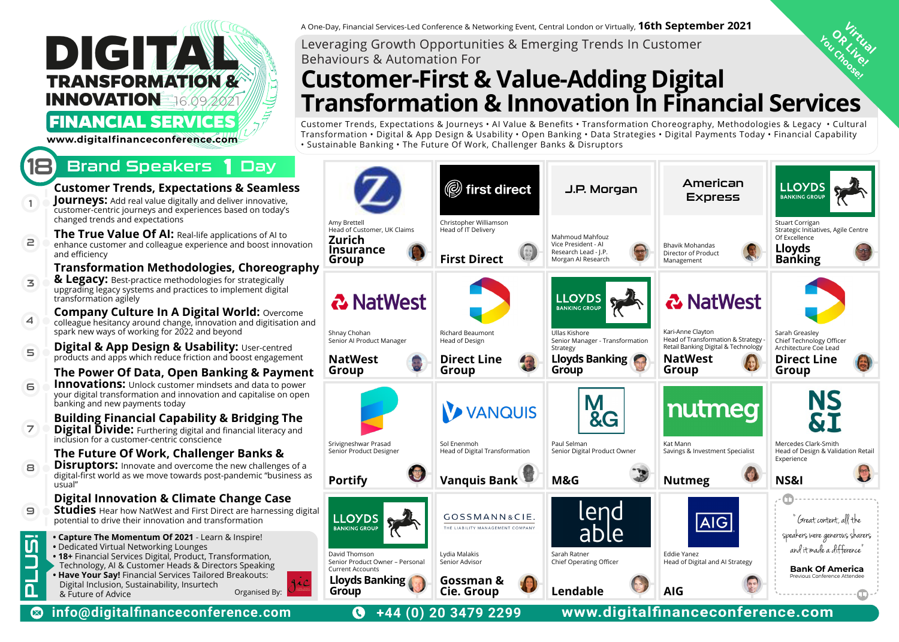## **DIGITAL INNOVATION**  16.09.2021 **TRANSFORMATION &**

## **FINANCIAL SERVICES**

**www.digitalfinanceconference.com**

## Brand Speakers 1 Day



A One-Day, Financial Services-Led Conference & Networking Event, Central London or Virtually, **16th September 2021**<br>Leveraging Growth Opportunities & Emerging Trends In Customer Behaviours & Automation For

## OR Itu<sub>c</sub> You Choose! **Customer-First & Value-Adding Digital Transformation & Innovation In Financial Services**

Customer Trends, Expectations & Journeys • AI Value & Benefits • Transformation Choreography, Methodologies & Legacy • Cultural Transformation • Digital & App Design & Usability • Open Banking • Data Strategies • Digital Payments Today • Financial Capability • Sustainable Banking • The Future Of Work, Challenger Banks & Disruptors

| າless<br>ive,<br>ay's                 |                                                                                                        | ( first direct                                                       | J.P. Morgan                                                                          | American<br><b>Express</b>                                                                            | LLOYDS<br><b>BANKING GROUP</b>                                                                       |
|---------------------------------------|--------------------------------------------------------------------------------------------------------|----------------------------------------------------------------------|--------------------------------------------------------------------------------------|-------------------------------------------------------------------------------------------------------|------------------------------------------------------------------------------------------------------|
| l to<br>nnovation<br>ography          | Amy Brettell<br>Head of Customer, UK Claims<br>Zurich<br><b>Insurance</b><br>Group                     | Christopher Williamson<br>Head of IT Delivery<br><b>First Direct</b> | Mahmoud Mahfouz<br>Vice President - Al<br>Research Lead - J.P.<br>Morgan AI Research | Bhavik Mohandas<br>Director of Product<br>Management                                                  | Stuart Corrigan<br>Strategic Initiatives, Agile Centre<br>Of Excellence<br><b>Lloyds<br/>Banking</b> |
| ılly<br>rital<br>ercome<br>sation and | <b>&amp; NatWest</b><br>Shnay Chohan                                                                   | Richard Beaumont                                                     | <b>LLOYDS</b><br><b>BANKING GROUP</b><br>Ullas Kishore                               | <b>&amp; NatWest</b><br>Kari-Anne Clayton                                                             | Sarah Greasley                                                                                       |
| ıtred<br>gement<br>ıyment<br>o power  | Senior Al Product Manager<br><b>NatWest</b><br>Group                                                   | Head of Design<br><b>Direct Line</b><br>Group                        | Senior Manager - Transformation<br>Strategy<br>Lloyds Banking<br>Group               | Head of Transformation & Strategy -<br>Retail Banking Digital & Technology<br><b>NatWest</b><br>Group | Chief Technology Officer<br>Architecture Coe Lead<br><b>Direct Line</b><br>Group                     |
| on open<br>g The<br>acy and           | Srivigneshwar Prasad                                                                                   | VANQUIS<br>Sol Enenmoh                                               | &G<br>Paul Selman                                                                    | nutmeg<br>Kat Mann                                                                                    | NS<br>&I<br>Mercedes Clark-Smith                                                                     |
| &<br>າges of a<br>usiness as          | Senior Product Designer<br><b>Portify</b>                                                              | Head of Digital Transformation<br><b>Vanquis Bank</b>                | Senior Digital Product Owner<br>M&G                                                  | Savings & Investment Specialist<br><b>Nutmeg</b>                                                      | Head of Design & Validation Retail<br>Experience<br>NS&I                                             |
| ase<br>ssing digital                  | <b>LLOYDS</b><br><b>BANKING GROUP</b>                                                                  | GOSSMANN&CIE.<br>THE LIABILITY MANAGEMENT COMPANY                    | lend<br> abl <u>e</u>                                                                | <b>AIG</b>                                                                                            | 'Great content, all the<br>speakers were generous sharers<br>and it made a difference"               |
|                                       | David Thomson<br>Senior Product Owner - Personal<br><b>Current Accounts</b><br>Lloyds Banking<br>Group | Lydia Malakis<br>Senior Advisor<br>Gossman &<br>Cie. Group           | Sarah Ratner<br>Chief Operating Officer<br>Lendable                                  | Eddie Yanez<br>Head of Digital and AI Strategy<br><b>AIG</b>                                          | <b>Bank Of America</b><br>Previous Conference Attendee                                               |

**info@digitalfinanceconference.com +44 (0) 20 3479 2299 www.digitalfinanceconference.com**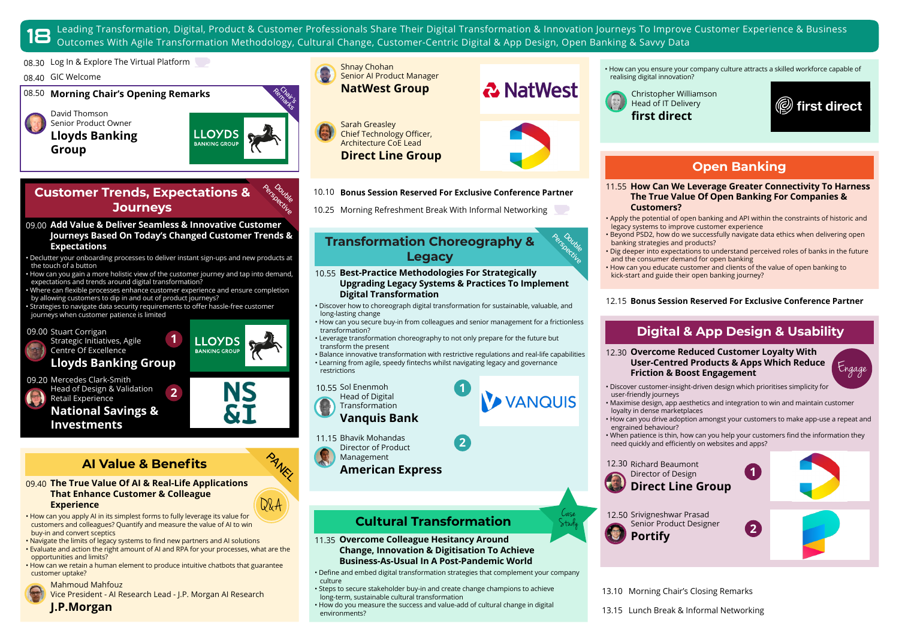Leading Transformation, Digital, Product & Customer Professionals Share Their Digital Transformation & Innovation Journeys To Improve Customer Experience & Business<br>18 Outcomes With Agile Transformation Methodology, Cultur

08.30 Log In & Explore The Virtual Platform

#### 08.40 GIC Welcome

08.50 **Morning Chair's Opening Remarks**

David Thomson Senior Product Owner **Lloyds Banking Group** 



**LOYDS** 

**Perspective** Ooyb<sub>le</sub>

### **Customer Trends, Expectations & Journeys**

#### **Add Value & Deliver Seamless & Innovative Customer**  09.00 **Journeys Based On Today's Changed Customer Trends & Expectations**

• Declutter your onboarding processes to deliver instant sign-ups and new products at the touch of a button

• How can you gain a more holistic view of the customer journey and tap into demand, expectations and trends around digital transformation?

• Where can flexible processes enhance customer experience and ensure completion by allowing customers to dip in and out of product journeys?

Strategies to navigate data security requirements to offer hassle-free customer journeys when customer patience is limited



**Investments** 

## **AI Value & Benefits**

#### **The True Value Of AI & Real-Life Applications**  09.40 **That Enhance Customer & Colleague Experience**

• How can you apply AI in its simplest forms to fully leverage its value for customers and colleagues? Quantify and measure the value of AI to win buy-in and convert sceptics

- Navigate the limits of legacy systems to find new partners and AI solutions
- Evaluate and action the right amount of AI and RPA for your processes, what are the opportunities and limits?
- How can we retain a human element to produce intuitive chatbots that guarantee customer uptake?

Mahmoud Mahfouz



**J.P.Morgan**



Sarah Greasley Chief Technology Officer, Architecture CoE Lead **Direct Line Group** 2 NatWest

**Perspective** Double

> Case Study

10.10 **Bonus Session Reserved For Exclusive Conference Partner**

10.25 Morning Refreshment Break With Informal Networking

#### **Transformation Choreography & Legacy**

**Best-Practice Methodologies For Strategically**  10.55 **Upgrading Legacy Systems & Practices To Implement Digital Transformation** 

• Discover how to choreograph digital transformation for sustainable, valuable, and long-lasting change

- How can you secure buy-in from colleagues and senior management for a frictionless transformation?
- Leverage transformation choreography to not only prepare for the future but transform the present

• Balance innovative transformation with restrictive regulations and real-life capabilities • Learning from agile, speedy fintechs whilst navigating legacy and governance restrictions

Sol Enenmoh 10.55 **2 1** Head of Digital



**Vanquis Bank**

11.15 Bhavik Mohandas

- Director of Product
- Management **American Express**



**Overcome Colleague Hesitancy Around**  11.35 **Change, Innovation & Digitisation To Achieve Business-As-Usual In A Post-Pandemic World**

- Define and embed digital transformation strategies that complement your company culture
- Steps to secure stakeholder buy-in and create change champions to achieve long-term, sustainable cultural transformation
- How do you measure the success and value-add of cultural change in digital environments?

• How can you ensure your company culture attracts a skilled workforce capable of realising digital innovation?



 $\textcircled{\tiny{\textcircled{\tiny{F}}}}$  first direct

## **Open Banking**

- **How Can We Leverage Greater Connectivity To Harness**  11.55 **The True Value Of Open Banking For Companies & Customers?**
- Apply the potential of open banking and API within the constraints of historic and legacy systems to improve customer experience
- Beyond PSD2, how do we successfully navigate data ethics when delivering open banking strategies and products?
- Dig deeper into expectations to understand perceived roles of banks in the future and the consumer demand for open banking
- How can you educate customer and clients of the value of open banking to kick-start and guide their open banking journey?

#### 12.15 **Bonus Session Reserved For Exclusive Conference Partner**

## **Digital & App Design & Usability**

**Overcome Reduced Customer Loyalty With**  12.30 **User-Centred Products & Apps Which Reduce Friction & Boost Engagement** 

Engage

• Discover customer-insight-driven design which prioritises simplicity for user-friendly journeys

- Maximise design, app aesthetics and integration to win and maintain customer loyalty in dense marketplaces
- How can you drive adoption amongst your customers to make app-use a repeat and engrained behaviour?
- When patience is thin, how can you help your customers find the information they need quickly and efficiently on websites and apps?

**2**

**1**

12.30 Richard Beaumont Director of Design **Direct Line Group**



12.50 Srivigneshwar Prasad Senior Product Designer **Portify** 



13.10 Morning Chair's Closing Remarks

13.15 Lunch Break & Informal Networking



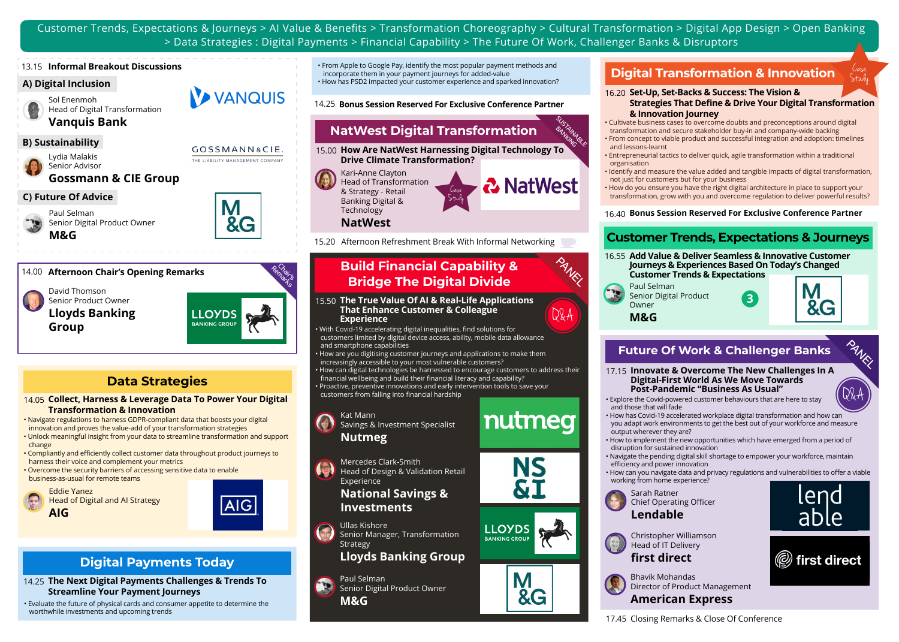Customer Trends, Expectations & Journeys > AI Value & Benefits > Transformation Choreography > Cultural Transformation > Digital App Design > Open Banking > Data Strategies : Digital Payments > Financial Capability > The Future Of Work, Challenger Banks & Disruptors

#### 13.15 **Informal Breakout Discussions**

#### **A) Digital Inclusion**

Sol Enenmoh Head of Digital Transformation **Vanquis Bank**

Lydia Malakis Senior Advisor

**Gossmann & CIE Group**

#### **C) Future Of Advice**

Paul Selman Senior Digital Product Owner **M&G**



VANQUIS

THE LIABILITY MANAGEMENT COMPANY

#### 14.00 **Afternoon Chair's Opening Remarks**

David Thomson Senior Product Owner **Lloyds Banking Group** 

Remain LLOYDS **BANKING GROU** 

#### **Data Strategies**

**Collect, Harness & Leverage Data To Power Your Digital**  14.05 **Transformation & Innovation** 

• Navigate regulations to harness GDPR-compliant data that boosts your digital innovation and proves the value-add of your transformation strategies

- Unlock meaningful insight from your data to streamline transformation and support change
- Compliantly and efficiently collect customer data throughout product journeys to harness their voice and complement your metrics
- Overcome the security barriers of accessing sensitive data to enable business-as-usual for remote teams





## **Digital Payments Today**

**The Next Digital Payments Challenges & Trends To**  14.25 **Streamline Your Payment Journeys** 

• Evaluate the future of physical cards and consumer appetite to determine the worthwhile investments and upcoming trends

• From Apple to Google Pay, identify the most popular payment methods and incorporate them in your payment journeys for added-value • How has PSD2 impacted your customer experience and sparked innovation?

14.25 **Bonus Session Reserved For Exclusive Conference Partner**

## **NatWest Digital Transformation B)** Sustainability<br>
B) Sustainability<br> **B)** Sustainability<br> **B)** Sustainability<br>
SOSSMANIAGLE AND CONSULTER MORE IS NOT CONSULTER TO A RESERVE A RESERVENCE OF CONSULTANCE AND CONSULTANT CONSULTANT OF THE CONSULTANT OF THE

**How Are NatWest Harnessing Digital Technology To**  15.00 **Drive Climate Transformation?** BANKAN

> **2** NatWest Case Study

15.20 Afternoon Refreshment Break With Informal Networking

# **Build Financial Capability & ANELL**<br>Bridge The Digital Divide ANELLA

**The True Value Of AI & Real-Life Applications**  15.50 **That Enhance Customer & Colleague Experience** 

• With Covid-19 accelerating digital inequalities, find solutions for customers limited by digital device access, ability, mobile data allowance and smartphone capabilities

• How are you digitising customer journeys and applications to make them increasingly accessible to your most vulnerable customers? • How can digital technologies be harnessed to encourage customers to address their financial wellbeing and build their financial literacy and capability?

• Proactive, preventive innovations and early intervention tools to save your customers from falling into financial hardship



Kari-Anne Clayton Head of Transformation & Strategy - Retail Banking Digital & **Technology NatWest**

Mercedes Clark-Smith Head of Design & Validation Retail Experience

#### **National Savings & Investments**



#### **Lloyds Banking Group**

Paul Selman Senior Digital Product Owner **M&G**

## **Digital Transformation & Innovation**

#### **Set-Up, Set-Backs & Success: The Vision &**  16.20

- **Strategies That Define & Drive Your Digital Transformation & Innovation Journey**
- Cultivate business cases to overcome doubts and preconceptions around digital
- transformation and secure stakeholder buy-in and company-wide backing • From concept to viable product and successful integration and adoption: timelines and lessons-learnt
- Entrepreneurial tactics to deliver quick, agile transformation within a traditional organisation
- Identify and measure the value added and tangible impacts of digital transformation, not just for customers but for your business
- How do you ensure you have the right digital architecture in place to support your transformation, grow with you and overcome regulation to deliver powerful results?

#### 16.40 **Bonus Session Reserved For Exclusive Conference Partner**

## **Customer Trends, Expectations & Journeys**



## **Future Of Work & Challenger Banks**

**Innovate & Overcome The New Challenges In A**  17.15 **Digital-First World As We Move Towards Post-Pandemic "Business As Usual"**

• Explore the Covid-powered customer behaviours that are here to stay and those that will fade

- How has Covid-19 accelerated workplace digital transformation and how can you adapt work environments to get the best out of your workforce and measure output wherever they are?
- How to implement the new opportunities which have emerged from a period of disruption for sustained innovation
- Navigate the pending digital skill shortage to empower your workforce, maintain efficiency and power innovation
- How can you navigate data and privacy regulations and vulnerabilities to offer a viable working from home experience?









enc

Q&A

Study

Bhavik Mohandas Director of Product Management **American Express** 



Chairs<br>Marzs





Q&A







**LLOYDS BANKING GROU**